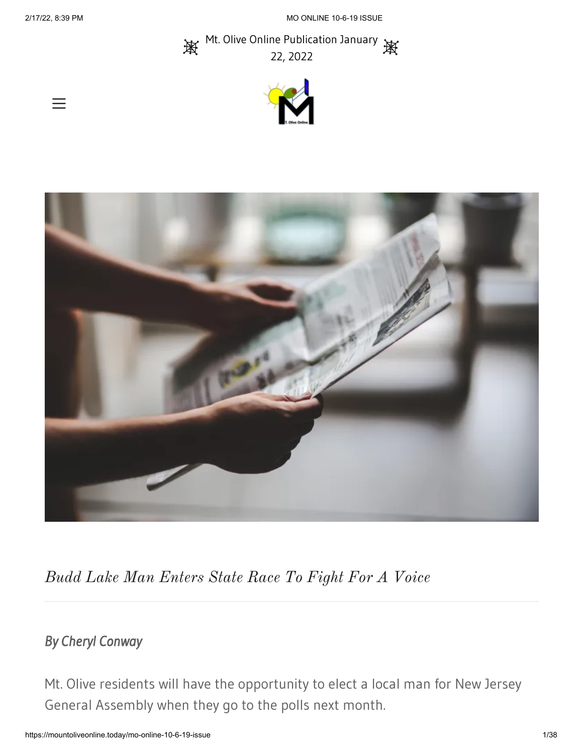Mt. Olive Online Publication January 澳 22, 2022





*Budd Lake Man Enters State Race To Fight For A Voice*

# *By Cheryl Conway*

Mt. Olive residents will have the opportunity to elect a local man for New Jersey General Assembly when they go to the polls next month.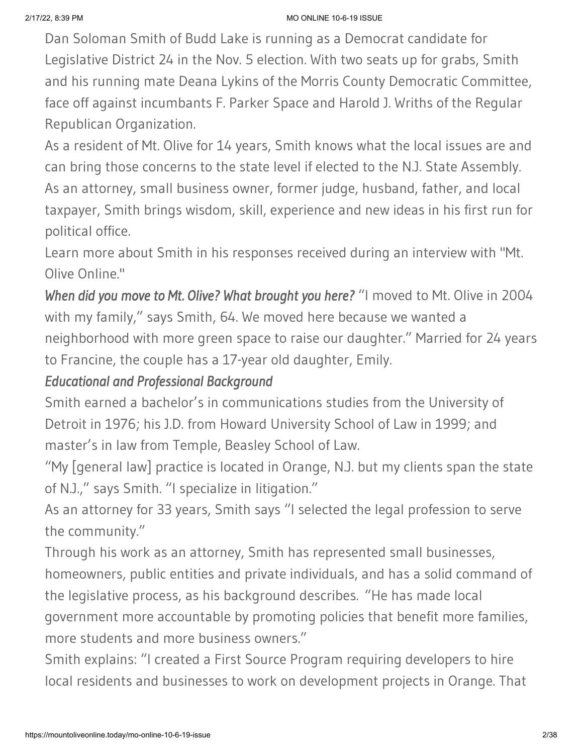Dan Soloman Smith of Budd Lake is running as a Democrat candidate for Legislative District 24 in the Nov. 5 election. With two seats up for grabs, Smith and his running mate Deana Lykins of the Morris County Democratic Committee, face off against incumbants F. Parker Space and Harold J. Wriths of the Regular Republican Organization.

As a resident of Mt. Olive for 14 years, Smith knows what the local issues are and can bring those concerns to the state level if elected to the N.J. State Assembly. As an attorney, small business owner, former judge, husband, father, and local taxpayer, Smith brings wisdom, skill, experience and new ideas in his first run for political office.

Learn more about Smith in his responses received during an interview with "Mt. Olive Online."

*When did you move to Mt. Olive? What brought you here?* "I moved to Mt. Olive in 2004 with my family," says Smith, 64. We moved here because we wanted a neighborhood with more green space to raise our daughter." Married for 24 years to Francine, the couple has a 17-year old daughter, Emily.

### *Educational and Professional Background*

Smith earned a bachelor's in communications studies from the University of Detroit in 1976; his J.D. from Howard University School of Law in 1999; and master's in law from Temple, Beasley School of Law.

"My [general law] practice is located in Orange, N.J. but my clients span the state of N.J.," says Smith. "I specialize in litigation."

As an attorney for 33 years, Smith says "I selected the legal profession to serve the community."

Through his work as an attorney, Smith has represented small businesses, homeowners, public entities and private individuals, and has a solid command of the legislative process, as his background describes. "He has made local government more accountable by promoting policies that benefit more families, more students and more business owners."

Smith explains: "I created a First Source Program requiring developers to hire local residents and businesses to work on development projects in Orange. That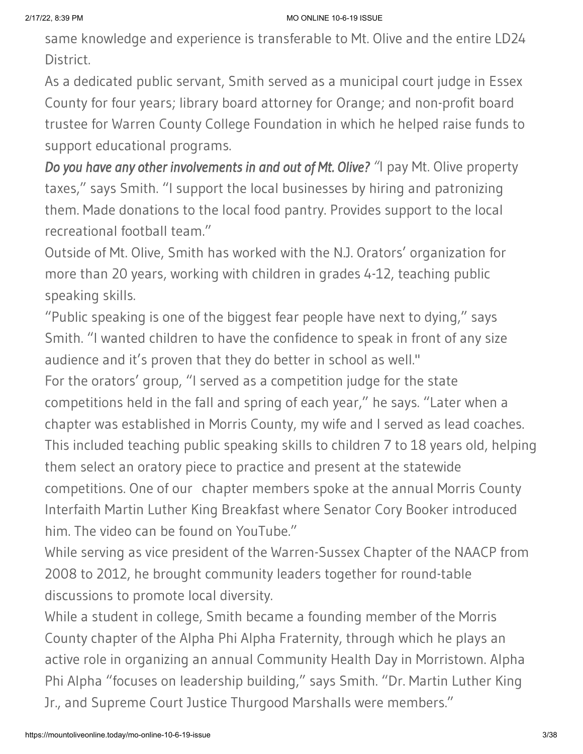same knowledge and experience is transferable to Mt. Olive and the entire LD24 District.

As a dedicated public servant, Smith served as a municipal court judge in Essex County for four years; library board attorney for Orange; and non-profit board trustee for Warren County College Foundation in which he helped raise funds to support educational programs.

*Do you have any other involvements in and out of Mt. Olive? "*I pay Mt. Olive property taxes," says Smith. "I support the local businesses by hiring and patronizing them. Made donations to the local food pantry. Provides support to the local recreational football team."

Outside of Mt. Olive, Smith has worked with the N.J. Orators' organization for more than 20 years, working with children in grades 4-12, teaching public speaking skills.

"Public speaking is one of the biggest fear people have next to dying," says Smith. "I wanted children to have the confidence to speak in front of any size audience and it's proven that they do better in school as well."

For the orators' group, "I served as a competition judge for the state competitions held in the fall and spring of each year," he says. "Later when a chapter was established in Morris County, my wife and I served as lead coaches. This included teaching public speaking skills to children 7 to 18 years old, helping them select an oratory piece to practice and present at the statewide competitions. One of our chapter members spoke at the annual Morris County Interfaith Martin Luther King Breakfast where Senator Cory Booker introduced him. The video can be found on YouTube."

While serving as vice president of the Warren-Sussex Chapter of the NAACP from 2008 to 2012, he brought community leaders together for round-table discussions to promote local diversity.

While a student in college, Smith became a founding member of the Morris County chapter of the Alpha Phi Alpha Fraternity, through which he plays an active role in organizing an annual Community Health Day in Morristown. Alpha Phi Alpha "focuses on leadership building," says Smith. "Dr. Martin Luther King Jr., and Supreme Court Justice Thurgood Marshalls were members."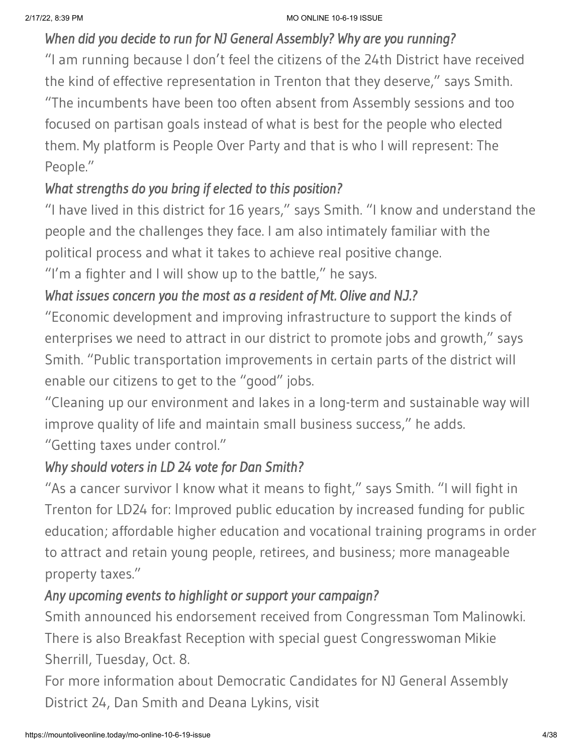### *When did you decide to run for NJ General Assembly? Why are you running?*

"I am running because I don't feel the citizens of the 24th District have received the kind of effective representation in Trenton that they deserve," says Smith. "The incumbents have been too often absent from Assembly sessions and too focused on partisan goals instead of what is best for the people who elected them. My platform is People Over Party and that is who I will represent: The People."

# *What strengths do you bring if elected to this position?*

"I have lived in this district for 16 years," says Smith. "I know and understand the people and the challenges they face. I am also intimately familiar with the political process and what it takes to achieve real positive change.

"I'm a fighter and I will show up to the battle," he says.

### *What issues concern you the most as a resident of Mt. Olive and N.J.?*

"Economic development and improving infrastructure to support the kinds of enterprises we need to attract in our district to promote jobs and growth," says Smith. "Public transportation improvements in certain parts of the district will enable our citizens to get to the "good" jobs.

"Cleaning up our environment and lakes in a long-term and sustainable way will improve quality of life and maintain small business success," he adds.

"Getting taxes under control."

### *Why should voters in LD 24 vote for Dan Smith?*

"As a cancer survivor I know what it means to fight," says Smith. "I will fight in Trenton for LD24 for: Improved public education by increased funding for public education; affordable higher education and vocational training programs in order to attract and retain young people, retirees, and business; more manageable property taxes."

### *Any upcoming events to highlight or support your campaign?*

Smith announced his endorsement received from Congressman Tom Malinowki. There is also Breakfast Reception with special guest Congresswoman Mikie

### Sherrill, Tuesday, Oct. 8.

For more information about Democratic Candidates for NJ General Assembly District 24, Dan Smith and Deana Lykins, visit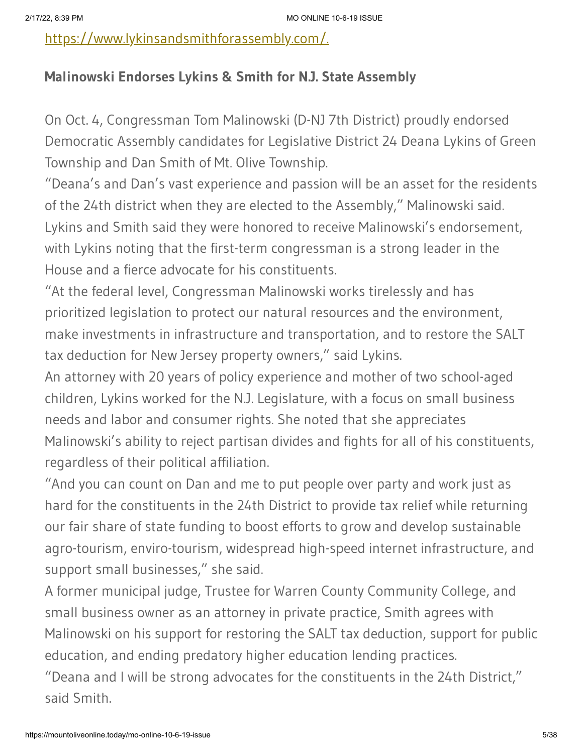[https://www.lykinsandsmithforassembly.com/.](https://www.lykinsandsmithforassembly.com/)

#### **Malinowski Endorses Lykins & Smith for N.J. State Assembly**

On Oct. 4, Congressman Tom Malinowski (D-NJ 7th District) proudly endorsed Democratic Assembly candidates for Legislative District 24 Deana Lykins of Green Township and Dan Smith of Mt. Olive Township.

"Deana's and Dan's vast experience and passion will be an asset for the residents of the 24th district when they are elected to the Assembly," Malinowski said. Lykins and Smith said they were honored to receive Malinowski's endorsement, with Lykins noting that the first-term congressman is a strong leader in the House and a fierce advocate for his constituents.

"At the federal level, Congressman Malinowski works tirelessly and has prioritized legislation to protect our natural resources and the environment, make investments in infrastructure and transportation, and to restore the SALT tax deduction for New Jersey property owners," said Lykins.

An attorney with 20 years of policy experience and mother of two school-aged children, Lykins worked for the N.J. Legislature, with a focus on small business needs and labor and consumer rights. She noted that she appreciates Malinowski's ability to reject partisan divides and fights for all of his constituents, regardless of their political affiliation.

"And you can count on Dan and me to put people over party and work just as hard for the constituents in the 24th District to provide tax relief while returning our fair share of state funding to boost efforts to grow and develop sustainable agro-tourism, enviro-tourism, widespread high-speed internet infrastructure, and support small businesses," she said.

A former municipal judge, Trustee for Warren County Community College, and small business owner as an attorney in private practice, Smith agrees with Malinowski on his support for restoring the SALT tax deduction, support for public education, and ending predatory higher education lending practices.

"Deana and I will be strong advocates for the constituents in the 24th District," said Smith.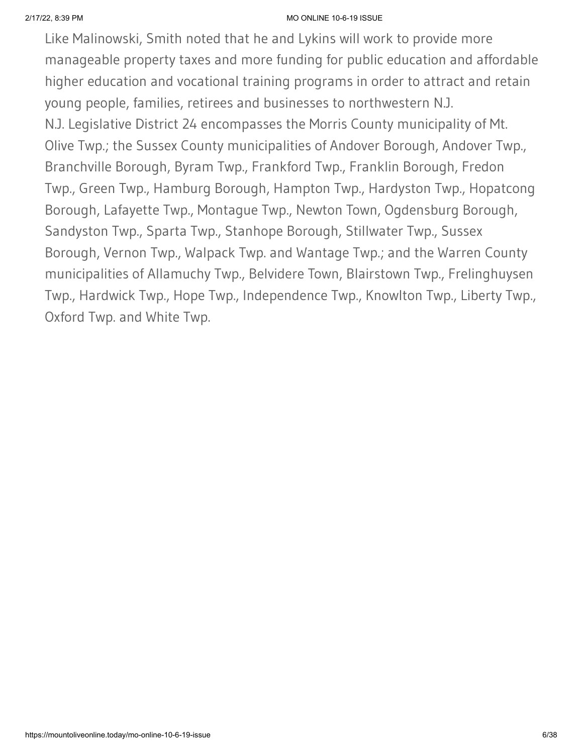Like Malinowski, Smith noted that he and Lykins will work to provide more manageable property taxes and more funding for public education and affordable higher education and vocational training programs in order to attract and retain young people, families, retirees and businesses to northwestern N.J. N.J. Legislative District 24 encompasses the Morris County municipality of Mt. Olive Twp.; the Sussex County municipalities of Andover Borough, Andover Twp., Branchville Borough, Byram Twp., Frankford Twp., Franklin Borough, Fredon Twp., Green Twp., Hamburg Borough, Hampton Twp., Hardyston Twp., Hopatcong Borough, Lafayette Twp., Montague Twp., Newton Town, Ogdensburg Borough, Sandyston Twp., Sparta Twp., Stanhope Borough, Stillwater Twp., Sussex Borough, Vernon Twp., Walpack Twp. and Wantage Twp.; and the Warren County municipalities of Allamuchy Twp., Belvidere Town, Blairstown Twp., Frelinghuysen Twp., Hardwick Twp., Hope Twp., Independence Twp., Knowlton Twp., Liberty Twp., Oxford Twp. and White Twp.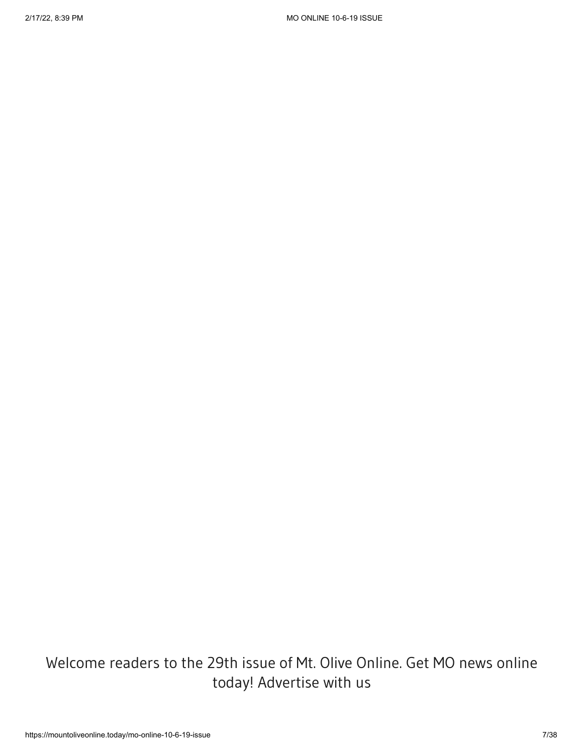Welcome readers to the 29th issue of Mt. Olive Online. Get MO news online today! Advertise with us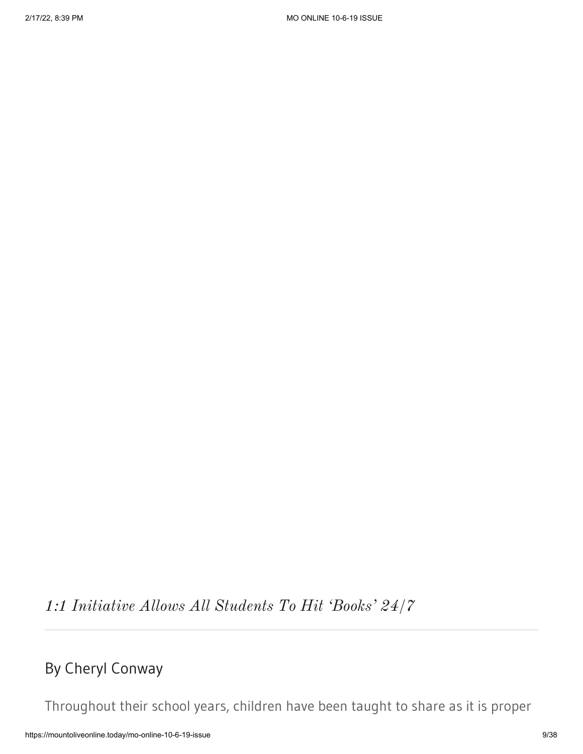*1:1 Initiative Allows All Students To Hit 'Books' 24/7*

# By Cheryl Conway

Throughout their school years, children have been taught to share as it is proper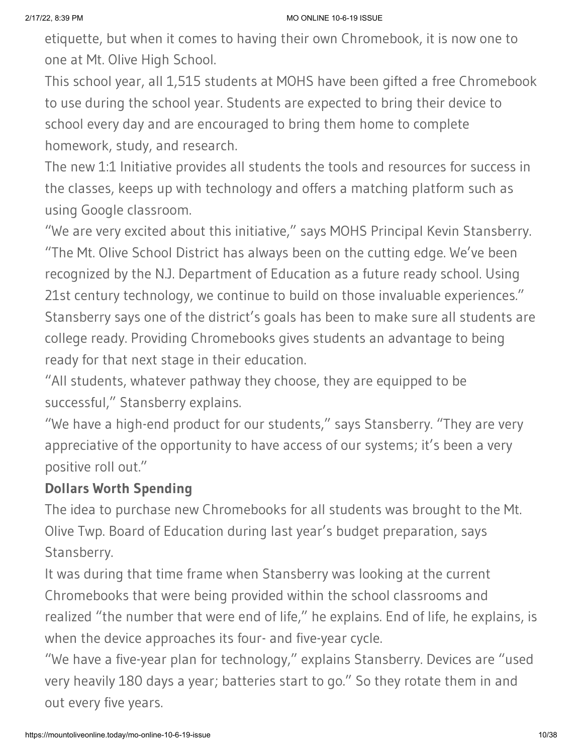etiquette, but when it comes to having their own Chromebook, it is now one to one at Mt. Olive High School.

This school year, all 1,515 students at MOHS have been gifted a free Chromebook to use during the school year. Students are expected to bring their device to school every day and are encouraged to bring them home to complete homework, study, and research.

The new 1:1 Initiative provides all students the tools and resources for success in the classes, keeps up with technology and offers a matching platform such as using Google classroom.

"We are very excited about this initiative," says MOHS Principal Kevin Stansberry. "The Mt. Olive School District has always been on the cutting edge. We've been recognized by the N.J. Department of Education as a future ready school. Using 21st century technology, we continue to build on those invaluable experiences." Stansberry says one of the district's goals has been to make sure all students are college ready. Providing Chromebooks gives students an advantage to being ready for that next stage in their education.

"All students, whatever pathway they choose, they are equipped to be successful," Stansberry explains.

"We have a high-end product for our students," says Stansberry. "They are very appreciative of the opportunity to have access of our systems; it's been a very positive roll out."

#### **Dollars Worth Spending**

The idea to purchase new Chromebooks for all students was brought to the Mt. Olive Twp. Board of Education during last year's budget preparation, says Stansberry.

It was during that time frame when Stansberry was looking at the current Chromebooks that were being provided within the school classrooms and realized "the number that were end of life," he explains. End of life, he explains, is when the device approaches its four- and five-year cycle.

"We have a five-year plan for technology," explains Stansberry. Devices are "used very heavily 180 days a year; batteries start to go." So they rotate them in and out every five years.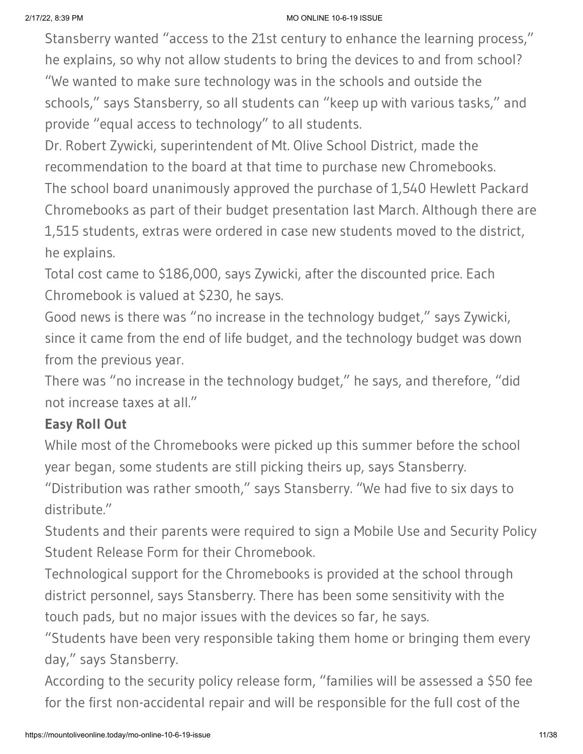Stansberry wanted "access to the 21st century to enhance the learning process," he explains, so why not allow students to bring the devices to and from school? "We wanted to make sure technology was in the schools and outside the schools," says Stansberry, so all students can "keep up with various tasks," and

provide "equal access to technology" to all students.

Dr. Robert Zywicki, superintendent of Mt. Olive School District, made the recommendation to the board at that time to purchase new Chromebooks. The school board unanimously approved the purchase of 1,540 Hewlett Packard Chromebooks as part of their budget presentation last March. Although there are 1,515 students, extras were ordered in case new students moved to the district, he explains.

Total cost came to \$186,000, says Zywicki, after the discounted price. Each Chromebook is valued at \$230, he says.

Good news is there was "no increase in the technology budget," says Zywicki, since it came from the end of life budget, and the technology budget was down from the previous year.

There was "no increase in the technology budget," he says, and therefore, "did not increase taxes at all."

### **Easy Roll Out**

While most of the Chromebooks were picked up this summer before the school year began, some students are still picking theirs up, says Stansberry.

"Distribution was rather smooth," says Stansberry. "We had five to six days to distribute."

Students and their parents were required to sign a Mobile Use and Security Policy Student Release Form for their Chromebook.

Technological support for the Chromebooks is provided at the school through district personnel, says Stansberry. There has been some sensitivity with the touch pads, but no major issues with the devices so far, he says.

"Students have been very responsible taking them home or bringing them every day," says Stansberry.

According to the security policy release form, "families will be assessed a \$50 fee for the first non-accidental repair and will be responsible for the full cost of the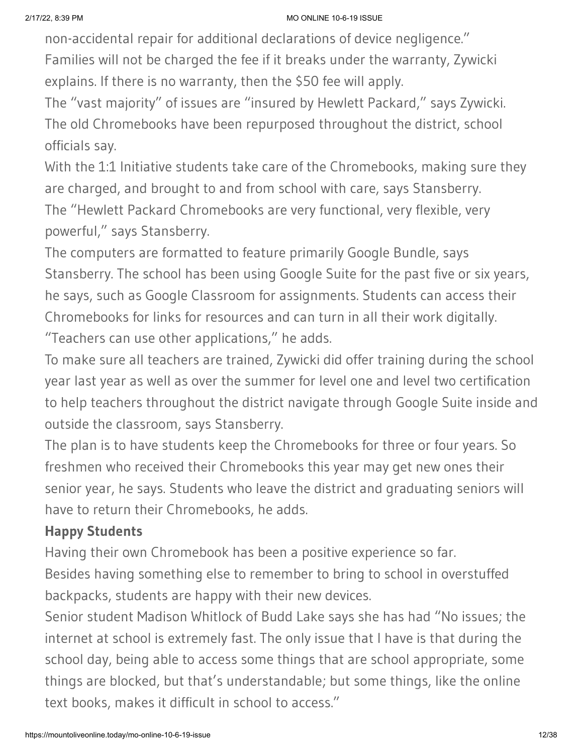non-accidental repair for additional declarations of device negligence." Families will not be charged the fee if it breaks under the warranty, Zywicki explains. If there is no warranty, then the \$50 fee will apply.

The "vast majority" of issues are "insured by Hewlett Packard," says Zywicki. The old Chromebooks have been repurposed throughout the district, school officials say.

With the 1:1 Initiative students take care of the Chromebooks, making sure they are charged, and brought to and from school with care, says Stansberry. The "Hewlett Packard Chromebooks are very functional, very flexible, very powerful," says Stansberry.

The computers are formatted to feature primarily Google Bundle, says Stansberry. The school has been using Google Suite for the past five or six years, he says, such as Google Classroom for assignments. Students can access their Chromebooks for links for resources and can turn in all their work digitally. "Teachers can use other applications," he adds.

To make sure all teachers are trained, Zywicki did offer training during the school year last year as well as over the summer for level one and level two certification to help teachers throughout the district navigate through Google Suite inside and outside the classroom, says Stansberry.

The plan is to have students keep the Chromebooks for three or four years. So freshmen who received their Chromebooks this year may get new ones their senior year, he says. Students who leave the district and graduating seniors will have to return their Chromebooks, he adds.

#### **Happy Students**

Having their own Chromebook has been a positive experience so far. Besides having something else to remember to bring to school in overstuffed backpacks, students are happy with their new devices.

Senior student Madison Whitlock of Budd Lake says she has had "No issues; the internet at school is extremely fast. The only issue that I have is that during the school day, being able to access some things that are school appropriate, some things are blocked, but that's understandable; but some things, like the online text books, makes it difficult in school to access."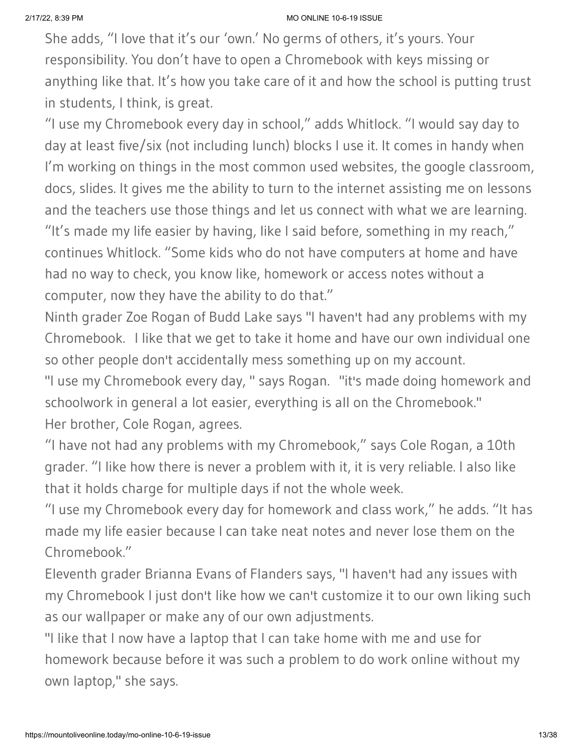She adds, "I love that it's our 'own.' No germs of others, it's yours. Your responsibility. You don't have to open a Chromebook with keys missing or anything like that. It's how you take care of it and how the school is putting trust in students, I think, is great.

"I use my Chromebook every day in school," adds Whitlock. "I would say day to day at least five/six (not including lunch) blocks I use it. It comes in handy when I'm working on things in the most common used websites, the google classroom, docs, slides. It gives me the ability to turn to the internet assisting me on lessons and the teachers use those things and let us connect with what we are learning. "It's made my life easier by having, like I said before, something in my reach," continues Whitlock. "Some kids who do not have computers at home and have had no way to check, you know like, homework or access notes without a computer, now they have the ability to do that."

Ninth grader Zoe Rogan of Budd Lake says "I haven't had any problems with my Chromebook. I like that we get to take it home and have our own individual one so other people don't accidentally mess something up on my account.

"I use my Chromebook every day, " says Rogan. "it's made doing homework and schoolwork in general a lot easier, everything is all on the Chromebook." Her brother, Cole Rogan, agrees.

"I have not had any problems with my Chromebook," says Cole Rogan, a 10th grader. "I like how there is never a problem with it, it is very reliable. I also like that it holds charge for multiple days if not the whole week.

"I use my Chromebook every day for homework and class work," he adds. "It has made my life easier because I can take neat notes and never lose them on the Chromebook."

Eleventh grader Brianna Evans of Flanders says, "I haven't had any issues with my Chromebook I just don't like how we can't customize it to our own liking such as our wallpaper or make any of our own adjustments.

"I like that I now have a laptop that I can take home with me and use for homework because before it was such a problem to do work online without my own laptop," she says.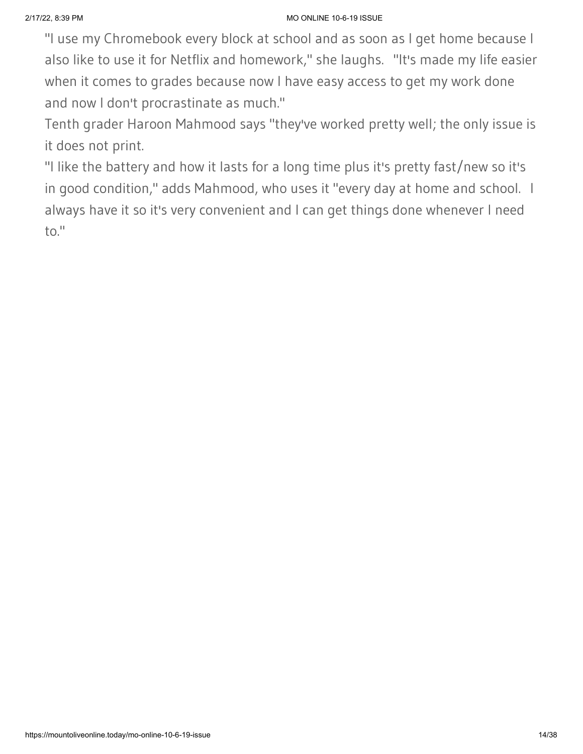"I use my Chromebook every block at school and as soon as I get home because I also like to use it for Netflix and homework," she laughs. "It's made my life easier when it comes to grades because now I have easy access to get my work done and now I don't procrastinate as much."

Tenth grader Haroon Mahmood says "they've worked pretty well; the only issue is it does not print.

"I like the battery and how it lasts for a long time plus it's pretty fast/new so it's in good condition," adds Mahmood, who uses it "every day at home and school. I always have it so it's very convenient and I can get things done whenever I need to."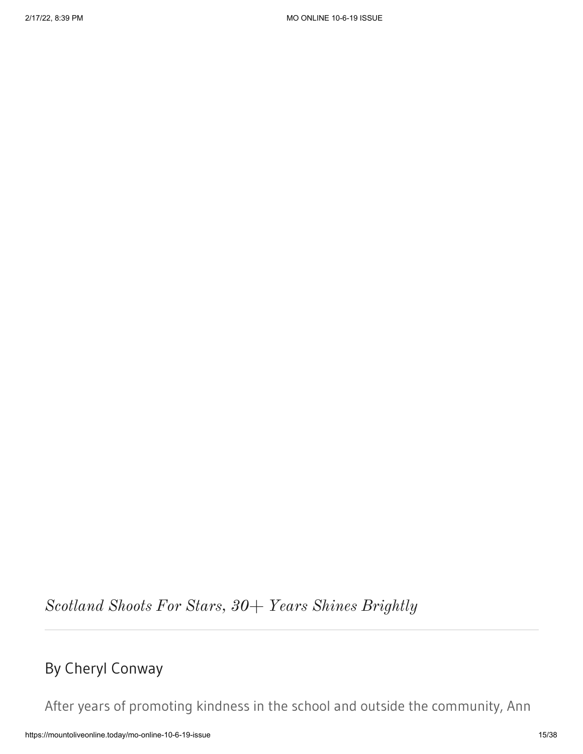*Scotland Shoots For Stars, 30+ Years Shines Brightly*

# By Cheryl Conway

After years of promoting kindness in the school and outside the community, Ann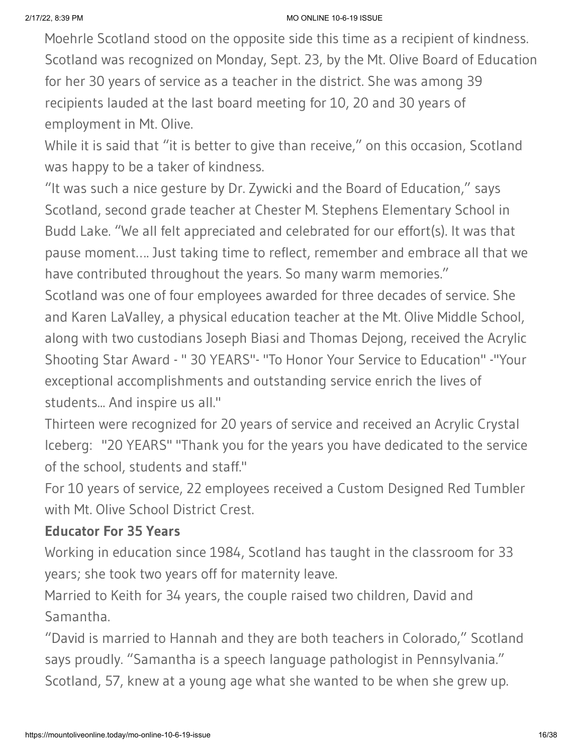Moehrle Scotland stood on the opposite side this time as a recipient of kindness. Scotland was recognized on Monday, Sept. 23, by the Mt. Olive Board of Education for her 30 years of service as a teacher in the district. She was among 39 recipients lauded at the last board meeting for 10, 20 and 30 years of employment in Mt. Olive.

While it is said that "it is better to give than receive," on this occasion, Scotland was happy to be a taker of kindness.

"It was such a nice gesture by Dr. Zywicki and the Board of Education," says Scotland, second grade teacher at Chester M. Stephens Elementary School in Budd Lake. "We all felt appreciated and celebrated for our effort(s). It was that pause moment…. Just taking time to reflect, remember and embrace all that we have contributed throughout the years. So many warm memories."

Scotland was one of four employees awarded for three decades of service. She and Karen LaValley, a physical education teacher at the Mt. Olive Middle School, along with two custodians Joseph Biasi and Thomas Dejong, received the Acrylic Shooting Star Award - " 30 YEARS"- "To Honor Your Service to Education" -"Your exceptional accomplishments and outstanding service enrich the lives of students... And inspire us all."

Thirteen were recognized for 20 years of service and received an Acrylic Crystal Iceberg: "20 YEARS" "Thank you for the years you have dedicated to the service of the school, students and staff."

For 10 years of service, 22 employees received a Custom Designed Red Tumbler with Mt. Olive School District Crest.

#### **Educator For 35 Years**

Working in education since 1984, Scotland has taught in the classroom for 33 years; she took two years off for maternity leave.

Married to Keith for 34 years, the couple raised two children, David and Samantha.

"David is married to Hannah and they are both teachers in Colorado," Scotland says proudly. "Samantha is a speech language pathologist in Pennsylvania." Scotland, 57, knew at a young age what she wanted to be when she grew up.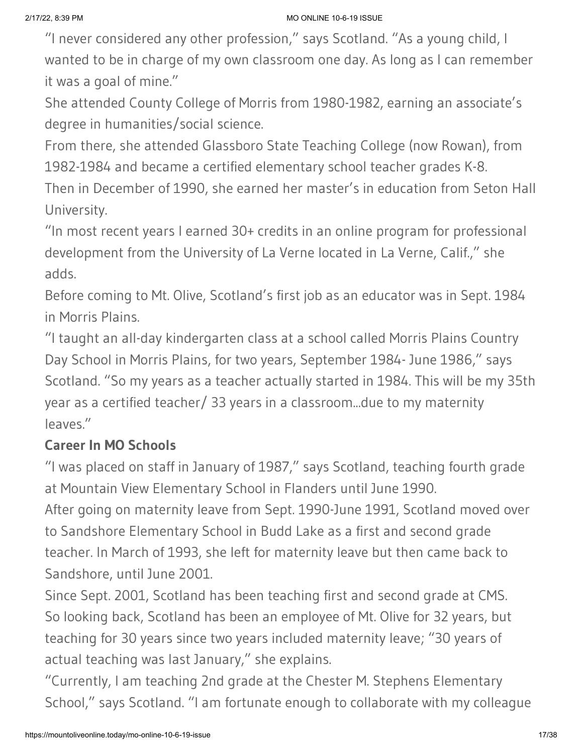"I never considered any other profession," says Scotland. "As a young child, I wanted to be in charge of my own classroom one day. As long as I can remember it was a goal of mine."

She attended County College of Morris from 1980-1982, earning an associate's degree in humanities/social science.

From there, she attended Glassboro State Teaching College (now Rowan), from 1982-1984 and became a certified elementary school teacher grades K-8.

Then in December of 1990, she earned her master's in education from Seton Hall University.

"In most recent years I earned 30+ credits in an online program for professional development from the University of La Verne located in La Verne, Calif.," she adds.

Before coming to Mt. Olive, Scotland's first job as an educator was in Sept. 1984 in Morris Plains.

"I taught an all-day kindergarten class at a school called Morris Plains Country Day School in Morris Plains, for two years, September 1984- June 1986," says Scotland. "So my years as a teacher actually started in 1984. This will be my 35th year as a certified teacher/ 33 years in a classroom...due to my maternity leaves."

# **Career In MO Schools**

"I was placed on staff in January of 1987," says Scotland, teaching fourth grade at Mountain View Elementary School in Flanders until June 1990.

After going on maternity leave from Sept. 1990-June 1991, Scotland moved over to Sandshore Elementary School in Budd Lake as a first and second grade teacher. In March of 1993, she left for maternity leave but then came back to Sandshore, until June 2001.

Since Sept. 2001, Scotland has been teaching first and second grade at CMS. So looking back, Scotland has been an employee of Mt. Olive for 32 years, but teaching for 30 years since two years included maternity leave; "30 years of actual teaching was last January," she explains.

"Currently, I am teaching 2nd grade at the Chester M. Stephens Elementary School," says Scotland. "I am fortunate enough to collaborate with my colleague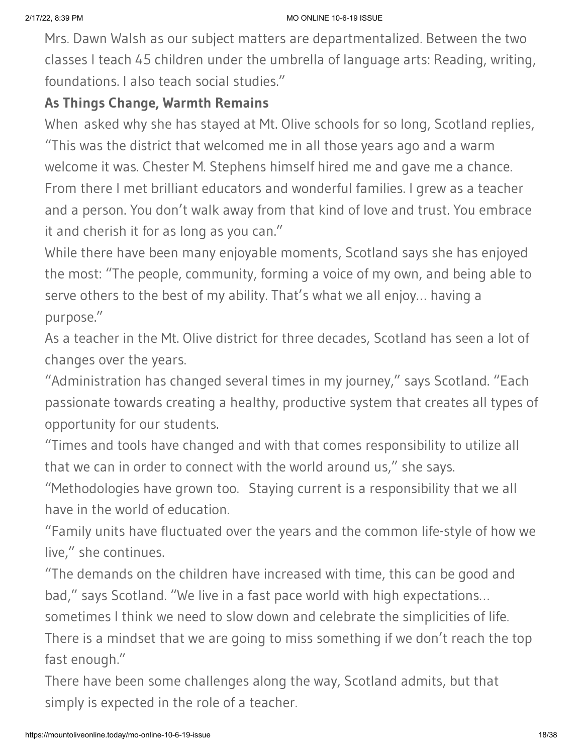Mrs. Dawn Walsh as our subject matters are departmentalized. Between the two classes I teach 45 children under the umbrella of language arts: Reading, writing, foundations. I also teach social studies."

### **As Things Change, Warmth Remains**

When asked why she has stayed at Mt. Olive schools for so long, Scotland replies, "This was the district that welcomed me in all those years ago and a warm welcome it was. Chester M. Stephens himself hired me and gave me a chance. From there I met brilliant educators and wonderful families. I grew as a teacher and a person. You don't walk away from that kind of love and trust. You embrace it and cherish it for as long as you can."

While there have been many enjoyable moments, Scotland says she has enjoyed the most: "The people, community, forming a voice of my own, and being able to serve others to the best of my ability. That's what we all enjoy… having a purpose."

As a teacher in the Mt. Olive district for three decades, Scotland has seen a lot of changes over the years.

"Administration has changed several times in my journey," says Scotland. "Each passionate towards creating a healthy, productive system that creates all types of opportunity for our students.

"Times and tools have changed and with that comes responsibility to utilize all that we can in order to connect with the world around us," she says.

"Methodologies have grown too. Staying current is a responsibility that we all have in the world of education.

"Family units have fluctuated over the years and the common life-style of how we live," she continues.

"The demands on the children have increased with time, this can be good and bad," says Scotland. "We live in a fast pace world with high expectations…

sometimes I think we need to slow down and celebrate the simplicities of life.

There is a mindset that we are going to miss something if we don't reach the top fast enough."

There have been some challenges along the way, Scotland admits, but that simply is expected in the role of a teacher.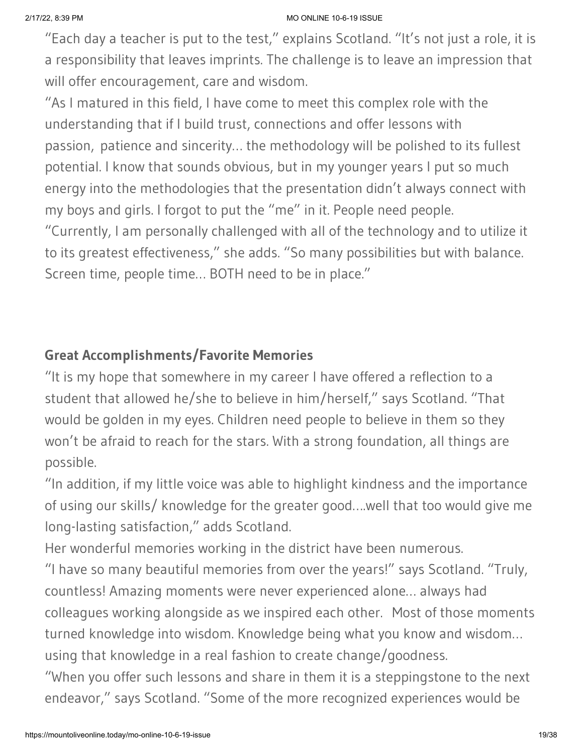"Each day a teacher is put to the test," explains Scotland. "It's not just a role, it is a responsibility that leaves imprints. The challenge is to leave an impression that will offer encouragement, care and wisdom.

"As I matured in this field, I have come to meet this complex role with the understanding that if I build trust, connections and offer lessons with passion, patience and sincerity… the methodology will be polished to its fullest potential. I know that sounds obvious, but in my younger years I put so much energy into the methodologies that the presentation didn't always connect with my boys and girls. I forgot to put the "me" in it. People need people. "Currently, I am personally challenged with all of the technology and to utilize it to its greatest effectiveness," she adds. "So many possibilities but with balance.

### Screen time, people time… BOTH need to be in place."

### **Great Accomplishments/Favorite Memories**

"It is my hope that somewhere in my career I have offered a reflection to a student that allowed he/she to believe in him/herself," says Scotland. "That would be golden in my eyes. Children need people to believe in them so they won't be afraid to reach for the stars. With a strong foundation, all things are possible.

"In addition, if my little voice was able to highlight kindness and the importance of using our skills/ knowledge for the greater good….well that too would give me long-lasting satisfaction," adds Scotland.

Her wonderful memories working in the district have been numerous.

"I have so many beautiful memories from over the years!" says Scotland. "Truly, countless! Amazing moments were never experienced alone… always had colleagues working alongside as we inspired each other. Most of those moments turned knowledge into wisdom. Knowledge being what you know and wisdom… using that knowledge in a real fashion to create change/goodness.

"When you offer such lessons and share in them it is a steppingstone to the next endeavor," says Scotland. "Some of the more recognized experiences would be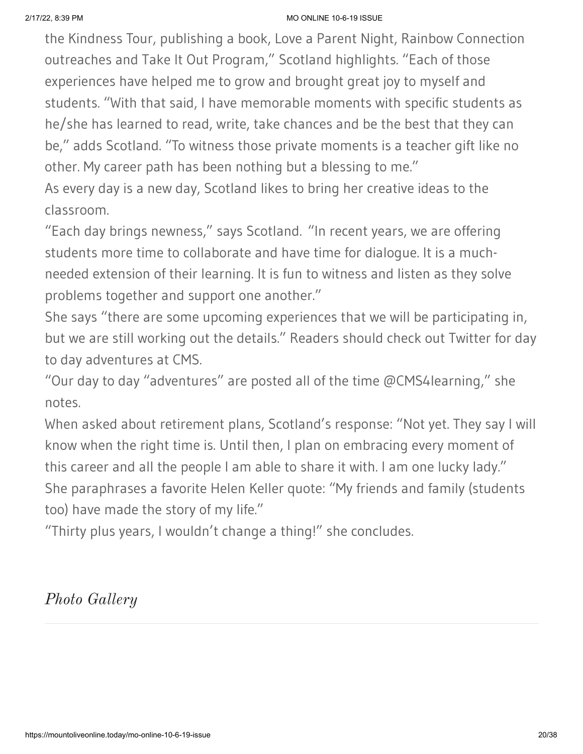the Kindness Tour, publishing a book, Love a Parent Night, Rainbow Connection outreaches and Take It Out Program," Scotland highlights. "Each of those experiences have helped me to grow and brought great joy to myself and students. "With that said, I have memorable moments with specific students as he/she has learned to read, write, take chances and be the best that they can be," adds Scotland. "To witness those private moments is a teacher gift like no other. My career path has been nothing but a blessing to me."

As every day is a new day, Scotland likes to bring her creative ideas to the classroom.

"Each day brings newness," says Scotland. "In recent years, we are offering students more time to collaborate and have time for dialogue. It is a muchneeded extension of their learning. It is fun to witness and listen as they solve problems together and support one another."

She says "there are some upcoming experiences that we will be participating in, but we are still working out the details." Readers should check out Twitter for day to day adventures at CMS.

"Our day to day "adventures" are posted all of the time  $@$ CMS4learning," she notes.

When asked about retirement plans, Scotland's response: "Not yet. They say I will know when the right time is. Until then, I plan on embracing every moment of this career and all the people I am able to share it with. I am one lucky lady." She paraphrases a favorite Helen Keller quote: "My friends and family (students too) have made the story of my life."

"Thirty plus years, I wouldn't change a thing!" she concludes.

### *Photo Gallery*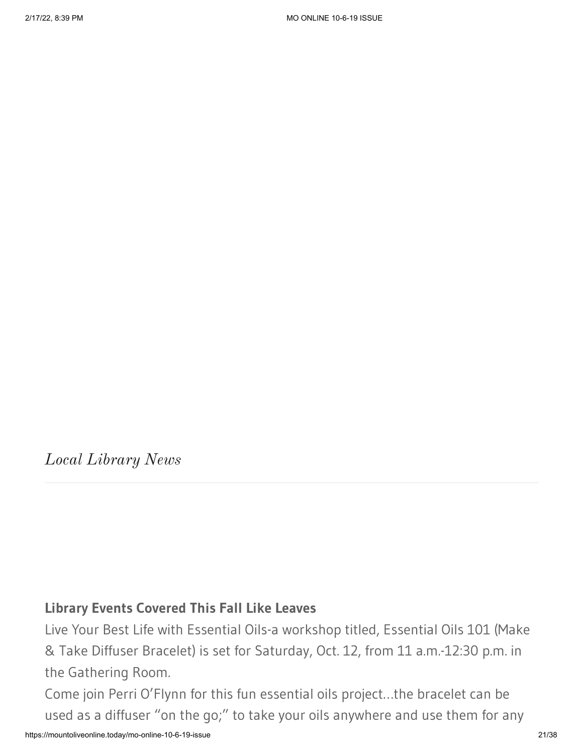*Local Library News*

#### **Library Events Covered This Fall Like Leaves**

Live Your Best Life with Essential Oils-a workshop titled, Essential Oils 101 (Make & Take Diffuser Bracelet) is set for Saturday, Oct. 12, from 11 a.m.-12:30 p.m. in the Gathering Room.

Come join Perri O'Flynn for this fun essential oils project…the bracelet can be used as a diffuser "on the go;" to take your oils anywhere and use them for any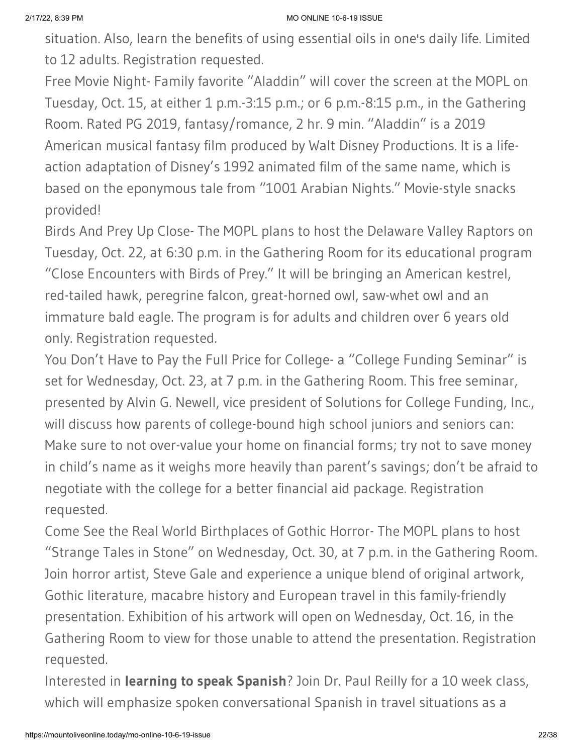situation. Also, learn the benefits of using essential oils in one's daily life. Limited to 12 adults. Registration requested.

Free Movie Night- Family favorite "Aladdin" will cover the screen at the MOPL on Tuesday, Oct. 15, at either 1 p.m.-3:15 p.m.; or 6 p.m.-8:15 p.m., in the Gathering Room. Rated PG 2019, fantasy/romance, 2 hr. 9 min. "Aladdin" is a 2019 American musical fantasy film produced by Walt Disney Productions. It is a lifeaction adaptation of Disney's 1992 animated film of the same name, which is based on the eponymous tale from "1001 Arabian Nights." Movie-style snacks provided!

Birds And Prey Up Close- The MOPL plans to host the Delaware Valley Raptors on Tuesday, Oct. 22, at 6:30 p.m. in the Gathering Room for its educational program "Close Encounters with Birds of Prey." It will be bringing an American kestrel, red-tailed hawk, peregrine falcon, great-horned owl, saw-whet owl and an immature bald eagle. The program is for adults and children over 6 years old only. Registration requested.

You Don't Have to Pay the Full Price for College- a "College Funding Seminar" is set for Wednesday, Oct. 23, at 7 p.m. in the Gathering Room. This free seminar, presented by Alvin G. Newell, vice president of Solutions for College Funding, Inc., will discuss how parents of college-bound high school juniors and seniors can: Make sure to not over-value your home on financial forms; try not to save money in child's name as it weighs more heavily than parent's savings; don't be afraid to negotiate with the college for a better financial aid package. Registration requested.

Come See the Real World Birthplaces of Gothic Horror- The MOPL plans to host "Strange Tales in Stone" on Wednesday, Oct. 30, at 7 p.m. in the Gathering Room. Join horror artist, Steve Gale and experience a unique blend of original artwork, Gothic literature, macabre history and European travel in this family-friendly presentation. Exhibition of his artwork will open on Wednesday, Oct. 16, in the Gathering Room to view for those unable to attend the presentation. Registration requested.

Interested in **learning to speak Spanish**? Join Dr. Paul Reilly for a 10 week class, which will emphasize spoken conversational Spanish in travel situations as a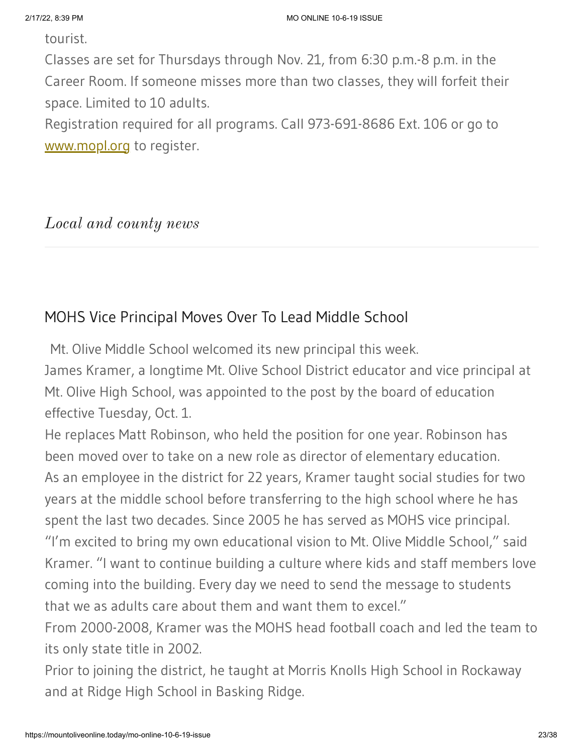tourist.

Classes are set for Thursdays through Nov. 21, from 6:30 p.m.-8 p.m. in the Career Room. If someone misses more than two classes, they will forfeit their space. Limited to 10 adults.

Registration required for all programs. Call 973-691-8686 Ext. 106 or go to [www.mopl.org](http://www.mopl.org/) to register.

#### *Local and county news*

### MOHS Vice Principal Moves Over To Lead Middle School

Mt. Olive Middle School welcomed its new principal this week.

James Kramer, a longtime Mt. Olive School District educator and vice principal at Mt. Olive High School, was appointed to the post by the board of education effective Tuesday, Oct. 1.

He replaces Matt Robinson, who held the position for one year. Robinson has been moved over to take on a new role as director of elementary education. As an employee in the district for 22 years, Kramer taught social studies for two years at the middle school before transferring to the high school where he has spent the last two decades. Since 2005 he has served as MOHS vice principal. "I'm excited to bring my own educational vision to Mt. Olive Middle School," said Kramer. "I want to continue building a culture where kids and staff members love coming into the building. Every day we need to send the message to students that we as adults care about them and want them to excel."

From 2000-2008, Kramer was the MOHS head football coach and led the team to its only state title in 2002.

Prior to joining the district, he taught at Morris Knolls High School in Rockaway and at Ridge High School in Basking Ridge.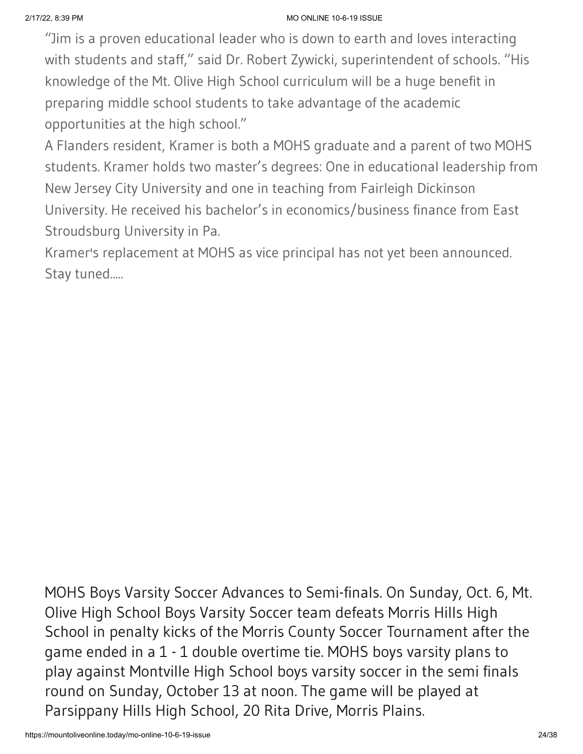"Jim is a proven educational leader who is down to earth and loves interacting with students and staff," said Dr. Robert Zywicki, superintendent of schools. "His knowledge of the Mt. Olive High School curriculum will be a huge benefit in preparing middle school students to take advantage of the academic opportunities at the high school."

A Flanders resident, Kramer is both a MOHS graduate and a parent of two MOHS students. Kramer holds two master's degrees: One in educational leadership from New Jersey City University and one in teaching from Fairleigh Dickinson University. He received his bachelor's in economics/business finance from East Stroudsburg University in Pa.

Kramer's replacement at MOHS as vice principal has not yet been announced. Stay tuned.....

MOHS Boys Varsity Soccer Advances to Semi-finals. On Sunday, Oct. 6, Mt. Olive High School Boys Varsity Soccer team defeats Morris Hills High School in penalty kicks of the Morris County Soccer Tournament after the game ended in a 1 - 1 double overtime tie. MOHS boys varsity plans to play against Montville High School boys varsity soccer in the semi finals round on Sunday, October 13 at noon. The game will be played at Parsippany Hills High School, 20 Rita Drive, Morris Plains.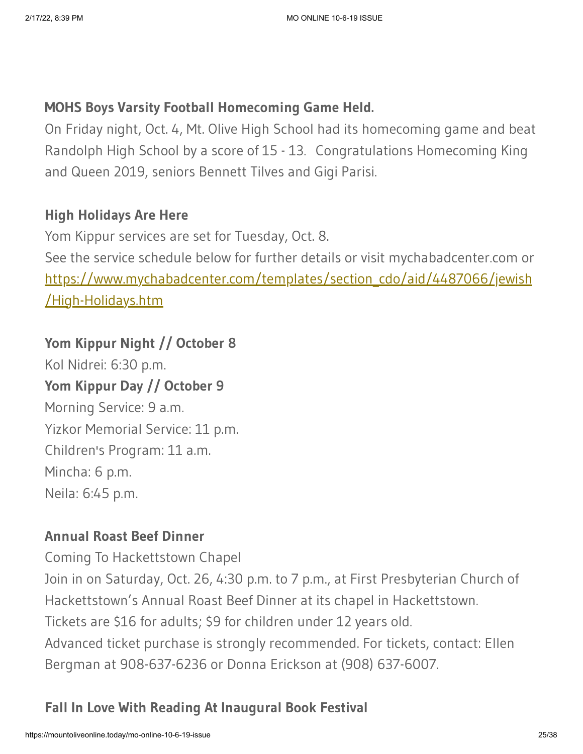### **MOHS Boys Varsity Football Homecoming Game Held.**

On Friday night, Oct. 4, Mt. Olive High School had its homecoming game and beat Randolph High School by a score of 15 - 13. Congratulations Homecoming King and Queen 2019, seniors Bennett Tilves and Gigi Parisi.

### **High Holidays Are Here**

Yom Kippur services are set for Tuesday, Oct. 8. See the service schedule below for further details or visit mychabadcenter.com or [https://www.mychabadcenter.com/templates/section\\_cdo/aid/4487066/jewish](https://www.mychabadcenter.com/templates/section_cdo/aid/4487066/jewish/High-Holidays.htm) /High-Holidays.htm

# **Yom Kippur Night // October 8**

Kol Nidrei: 6:30 p.m. **Yom Kippur Day // October 9** Morning Service: 9 a.m. Yizkor Memorial Service: 11 p.m. Children's Program: 11 a.m. Mincha: 6 p.m. Neila: 6:45 p.m.

### **Annual Roast Beef Dinner**

Coming To Hackettstown Chapel

Join in on Saturday, Oct. 26, 4:30 p.m. to 7 p.m., at First Presbyterian Church of Hackettstown's Annual Roast Beef Dinner at its chapel in Hackettstown.

Tickets are \$16 for adults; \$9 for children under 12 years old.

Advanced ticket purchase is strongly recommended. For tickets, contact: Ellen Bergman at 908-637-6236 or Donna Erickson at (908) 637-6007.

# **Fall In Love With Reading At Inaugural Book Festival**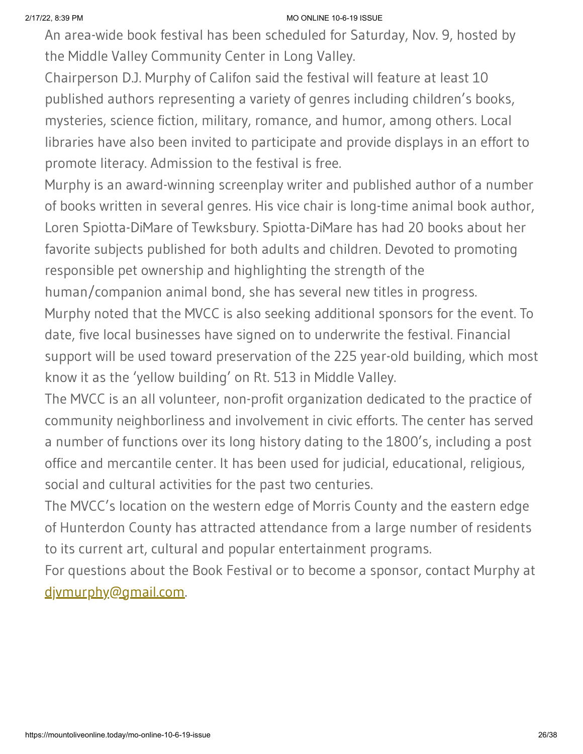An area-wide book festival has been scheduled for Saturday, Nov. 9, hosted by the Middle Valley Community Center in Long Valley.

Chairperson D.J. Murphy of Califon said the festival will feature at least 10 published authors representing a variety of genres including children's books, mysteries, science fiction, military, romance, and humor, among others. Local libraries have also been invited to participate and provide displays in an effort to promote literacy. Admission to the festival is free.

Murphy is an award-winning screenplay writer and published author of a number of books written in several genres. His vice chair is long-time animal book author, Loren Spiotta-DiMare of Tewksbury. Spiotta-DiMare has had 20 books about her favorite subjects published for both adults and children. Devoted to promoting responsible pet ownership and highlighting the strength of the

human/companion animal bond, she has several new titles in progress.

Murphy noted that the MVCC is also seeking additional sponsors for the event. To date, five local businesses have signed on to underwrite the festival. Financial support will be used toward preservation of the 225 year-old building, which most know it as the 'yellow building' on Rt. 513 in Middle Valley.

The MVCC is an all volunteer, non-profit organization dedicated to the practice of community neighborliness and involvement in civic efforts. The center has served a number of functions over its long history dating to the 1800's, including a post office and mercantile center. It has been used for judicial, educational, religious, social and cultural activities for the past two centuries.

The MVCC's location on the western edge of Morris County and the eastern edge of Hunterdon County has attracted attendance from a large number of residents to its current art, cultural and popular entertainment programs.

For questions about the Book Festival or to become a sponsor, contact Murphy at [djvmurphy@gmail.com](mailto:djvmurphy@gmail.com).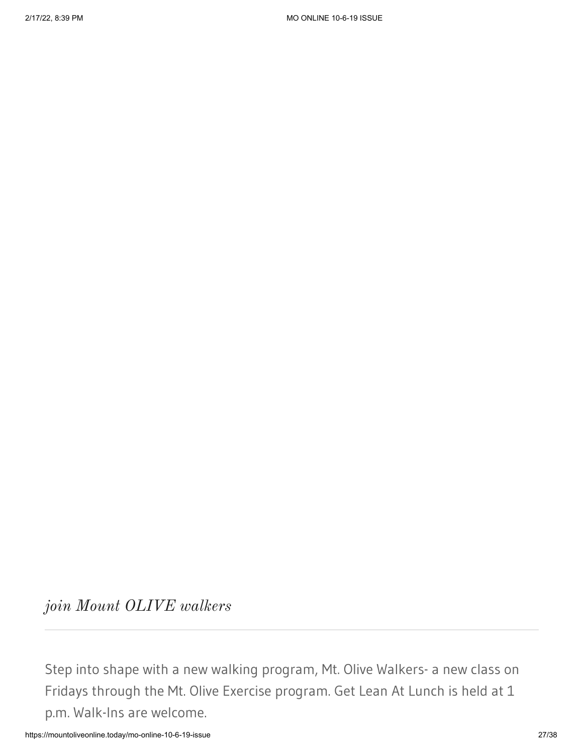*join Mount OLIVE walkers*

Step into shape with a new walking program, Mt. Olive Walkers- a new class on Fridays through the Mt. Olive Exercise program. Get Lean At Lunch is held at 1 p.m. Walk-Ins are welcome.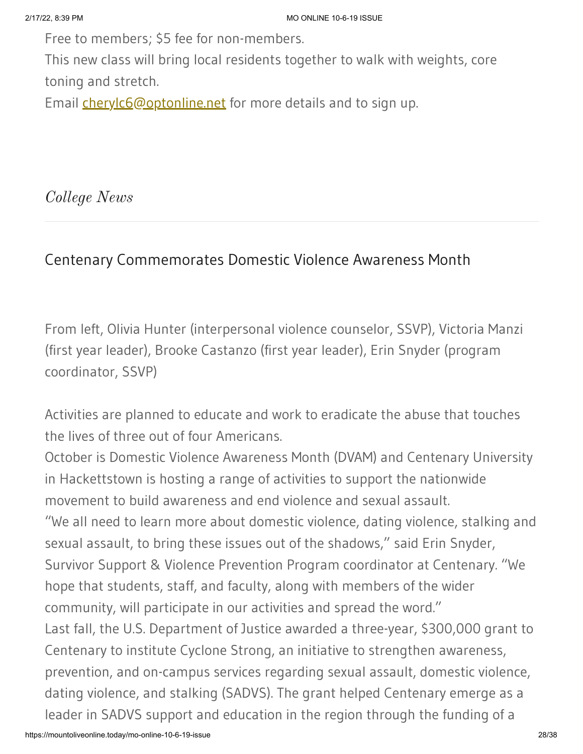Free to members; \$5 fee for non-members.

This new class will bring local residents together to walk with weights, core toning and stretch.

Email **[cherylc6@optonline.net](mailto:cherylc6@optonline.net)** for more details and to sign up.

*College News*

# Centenary Commemorates Domestic Violence Awareness Month

From left, Olivia Hunter (interpersonal violence counselor, SSVP), Victoria Manzi (first year leader), Brooke Castanzo (first year leader), Erin Snyder (program coordinator, SSVP)

Activities are planned to educate and work to eradicate the abuse that touches the lives of three out of four Americans.

October is Domestic Violence Awareness Month (DVAM) and Centenary University in Hackettstown is hosting a range of activities to support the nationwide movement to build awareness and end violence and sexual assault. "We all need to learn more about domestic violence, dating violence, stalking and sexual assault, to bring these issues out of the shadows," said Erin Snyder, Survivor Support & Violence Prevention Program coordinator at Centenary. "We hope that students, staff, and faculty, along with members of the wider community, will participate in our activities and spread the word." Last fall, the U.S. Department of Justice awarded a three-year, \$300,000 grant to Centenary to institute Cyclone Strong, an initiative to strengthen awareness, prevention, and on-campus services regarding sexual assault, domestic violence, dating violence, and stalking (SADVS). The grant helped Centenary emerge as a leader in SADVS support and education in the region through the funding of a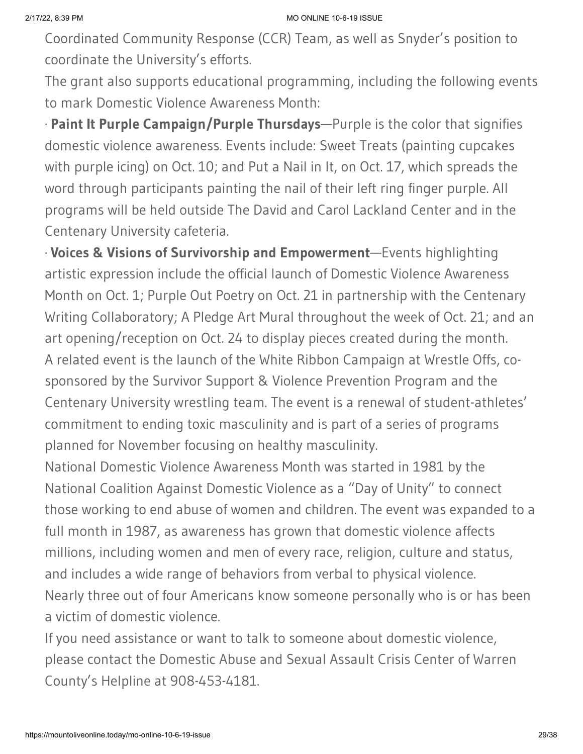Coordinated Community Response (CCR) Team, as well as Snyder's position to coordinate the University's efforts.

The grant also supports educational programming, including the following events to mark Domestic Violence Awareness Month:

· **Paint It Purple Campaign/Purple Thursdays**—Purple is the color that signifies domestic violence awareness. Events include: Sweet Treats (painting cupcakes with purple icing) on Oct. 10; and Put a Nail in It, on Oct. 17, which spreads the word through participants painting the nail of their left ring finger purple. All programs will be held outside The David and Carol Lackland Center and in the Centenary University cafeteria.

· **Voices & Visions of Survivorship and Empowerment**—Events highlighting artistic expression include the official launch of Domestic Violence Awareness Month on Oct. 1; Purple Out Poetry on Oct. 21 in partnership with the Centenary Writing Collaboratory; A Pledge Art Mural throughout the week of Oct. 21; and an art opening/reception on Oct. 24 to display pieces created during the month. A related event is the launch of the White Ribbon Campaign at Wrestle Offs, cosponsored by the Survivor Support & Violence Prevention Program and the Centenary University wrestling team. The event is a renewal of student-athletes' commitment to ending toxic masculinity and is part of a series of programs planned for November focusing on healthy masculinity.

National Domestic Violence Awareness Month was started in 1981 by the National Coalition Against Domestic Violence as a "Day of Unity" to connect those working to end abuse of women and children. The event was expanded to a full month in 1987, as awareness has grown that domestic violence affects millions, including women and men of every race, religion, culture and status, and includes a wide range of behaviors from verbal to physical violence. Nearly three out of four Americans know someone personally who is or has been a victim of domestic violence.

If you need assistance or want to talk to someone about domestic violence, please contact the Domestic Abuse and Sexual Assault Crisis Center of Warren County's Helpline at 908-453-4181.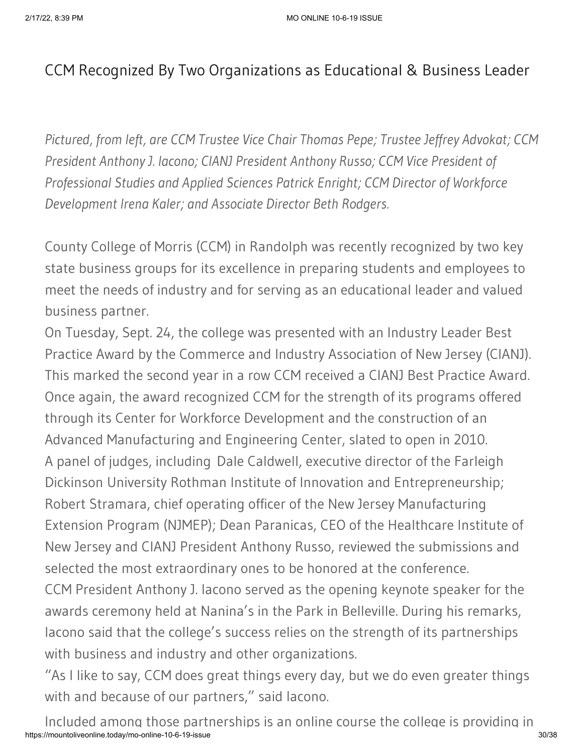# CCM Recognized By Two Organizations as Educational & Business Leader

*Pictured, from left, are CCM Trustee Vice Chair Thomas Pepe; Trustee Jeffrey Advokat; CCM President Anthony J. Iacono; CIANJ President Anthony Russo; CCM Vice President of Professional Studies and Applied Sciences Patrick Enright; CCM Director of Workforce Development Irena Kaler; and Associate Director Beth Rodgers.*

County College of Morris (CCM) in Randolph was recently recognized by two key state business groups for its excellence in preparing students and employees to meet the needs of industry and for serving as an educational leader and valued business partner.

On Tuesday, Sept. 24, the college was presented with an Industry Leader Best Practice Award by the Commerce and Industry Association of New Jersey (CIANJ). This marked the second year in a row CCM received a CIANJ Best Practice Award. Once again, the award recognized CCM for the strength of its programs offered through its Center for Workforce Development and the construction of an Advanced Manufacturing and Engineering Center, slated to open in 2010. A panel of judges, including Dale Caldwell, executive director of the Farleigh Dickinson University Rothman Institute of Innovation and Entrepreneurship; Robert Stramara, chief operating officer of the New Jersey Manufacturing Extension Program (NJMEP); Dean Paranicas, CEO of the Healthcare Institute of New Jersey and CIANJ President Anthony Russo, reviewed the submissions and selected the most extraordinary ones to be honored at the conference. CCM President Anthony J. Iacono served as the opening keynote speaker for the

awards ceremony held at Nanina's in the Park in Belleville. During his remarks, Iacono said that the college's success relies on the strength of its partnerships with business and industry and other organizations.

"As I like to say, CCM does great things every day, but we do even greater things with and because of our partners," said Iacono.

https://mountoliveonline.today/mo-online-10-6-19-issue 30/38 Included among those partnerships is an online course the college is providing in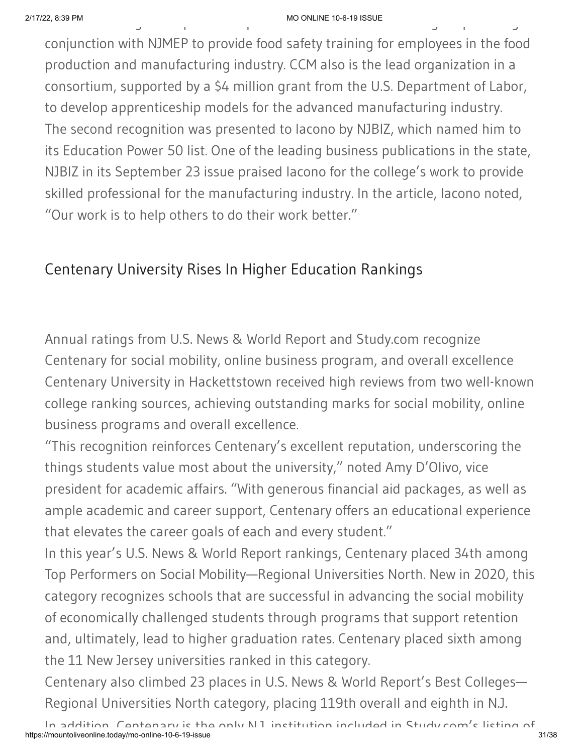#### 2/17/22, 8:39 PM MO ONLINE 10-6-19 ISSUE  $\blacksquare$  MO ONLINE 10-6-19 ISSUE<br>  $\blacksquare$

conjunction with NJMEP to provide food safety training for employees in the food production and manufacturing industry. CCM also is the lead organization in a consortium, supported by a \$4 million grant from the U.S. Department of Labor, to develop apprenticeship models for the advanced manufacturing industry. The second recognition was presented to Iacono by NJBIZ, which named him to its Education Power 50 list. One of the leading business publications in the state, NJBIZ in its September 23 issue praised Iacono for the college's work to provide skilled professional for the manufacturing industry. In the article, Iacono noted, "Our work is to help others to do their work better."

# Centenary University Rises In Higher Education Rankings

Annual ratings from U.S. News & World Report and Study.com recognize Centenary for social mobility, online business program, and overall excellence Centenary University in Hackettstown received high reviews from two well-known college ranking sources, achieving outstanding marks for social mobility, online business programs and overall excellence.

"This recognition reinforces Centenary's excellent reputation, underscoring the things students value most about the university," noted Amy D'Olivo, vice president for academic affairs. "With generous financial aid packages, as well as ample academic and career support, Centenary offers an educational experience that elevates the career goals of each and every student."

In this year's U.S. News & World Report rankings, Centenary placed 34th among Top Performers on Social Mobility—Regional Universities North. New in 2020, this category recognizes schools that are successful in advancing the social mobility of economically challenged students through programs that support retention and, ultimately, lead to higher graduation rates. Centenary placed sixth among the 11 New Jersey universities ranked in this category.

Centenary also climbed 23 places in U.S. News & World Report's Best Colleges— Regional Universities North category, placing 119th overall and eighth in N.J.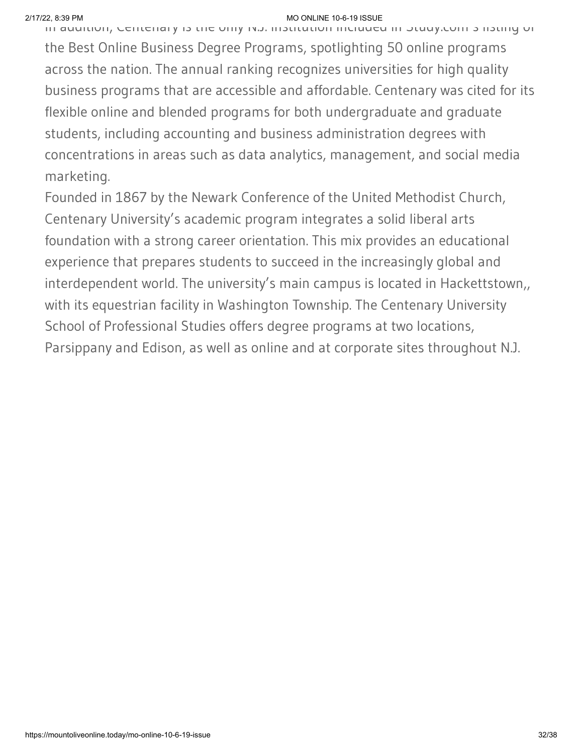In addition, Centenary is the only N.J. institution included in Study.com s listing of the Best Online Business Degree Programs, spotlighting 50 online programs across the nation. The annual ranking recognizes universities for high quality business programs that are accessible and affordable. Centenary was cited for its flexible online and blended programs for both undergraduate and graduate students, including accounting and business administration degrees with concentrations in areas such as data analytics, management, and social media marketing.

Founded in 1867 by the Newark Conference of the United Methodist Church, Centenary University's academic program integrates a solid liberal arts foundation with a strong career orientation. This mix provides an educational experience that prepares students to succeed in the increasingly global and interdependent world. The university's main campus is located in Hackettstown,, with its equestrian facility in Washington Township. The Centenary University School of Professional Studies offers degree programs at two locations, Parsippany and Edison, as well as online and at corporate sites throughout N.J.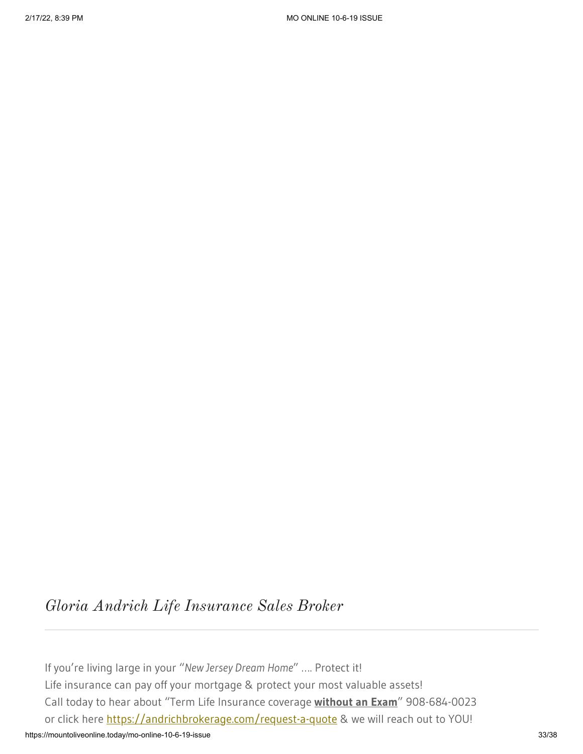# *Gloria Andrich Life Insurance Sales Broker*

https://mountoliveonline.today/mo-online-10-6-19-issue 33/38 If you're living large in your "*New Jersey Dream Home*" …. Protect it! Life insurance can pay off your mortgage & protect your most valuable assets! Call today to hear about "Term Life Insurance coverage **without an Exam**" 908-684-0023 or click here [https://andrichbrokerage.com/request-a-quote](https://andrichbrokerage.com/request-a-quote?fbclid=IwAR0V44u63KxQNCV_RGKoXtsj1fhzXoVejqflqfq8rGoJPlhrLc3-t7PUhVQ) & we will reach out to YOU!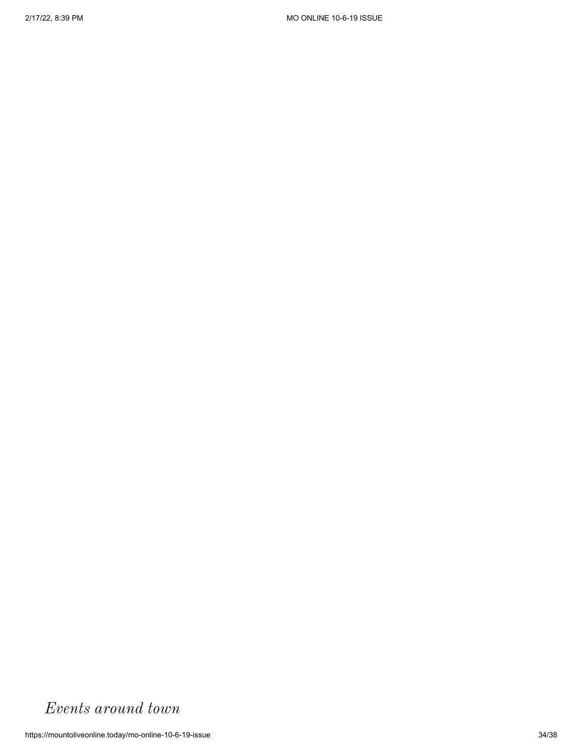# *Events around town*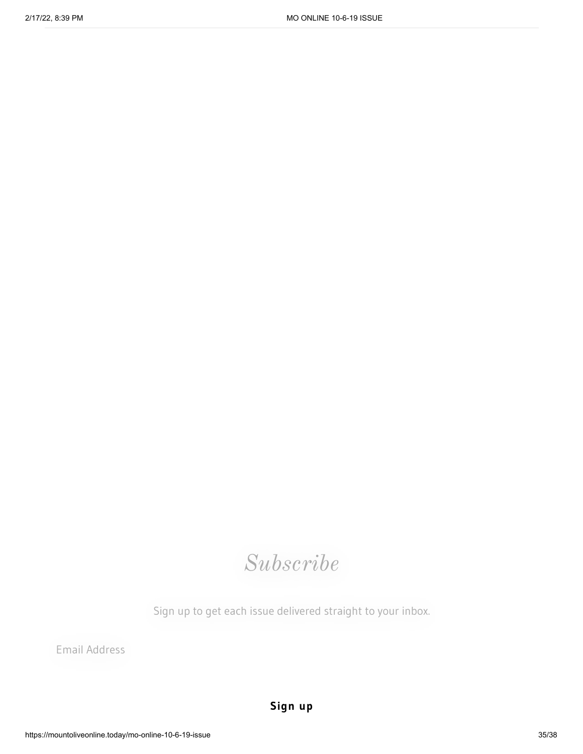# *Subscribe*

Sign up to get each issue delivered straight to your inbox.

Email Address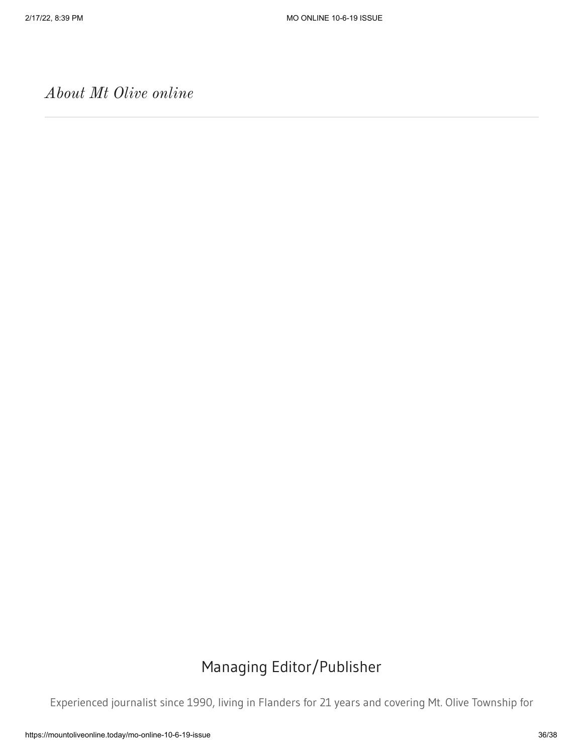*About Mt Olive online*

# Managing Editor/Publisher

Experienced journalist since 1990, living in Flanders for 21 years and covering Mt. Olive Township for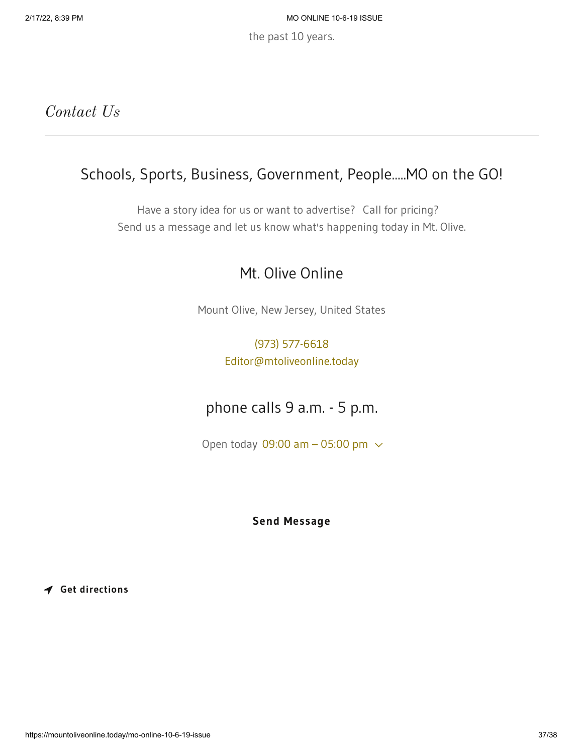the past 10 years.

### *Contact Us*

# Schools, Sports, Business, Government, People.....MO on the GO!

Have a story idea for us or want to advertise? Call for pricing? Send us a message and let us know what's happening today in Mt. Olive.

### Mt. Olive Online

Mount Olive, New Jersey, United States

#### [\(973\) 577-6618](tel:9735776618) [Editor@mtoliveonline.today](mailto:Editor@mtoliveonline.today)

# phone calls 9 a.m. - 5 p.m.

Open today 09:00 am  $-$  05:00 pm  $\sim$ 

#### **Send Message**

**Get directions**